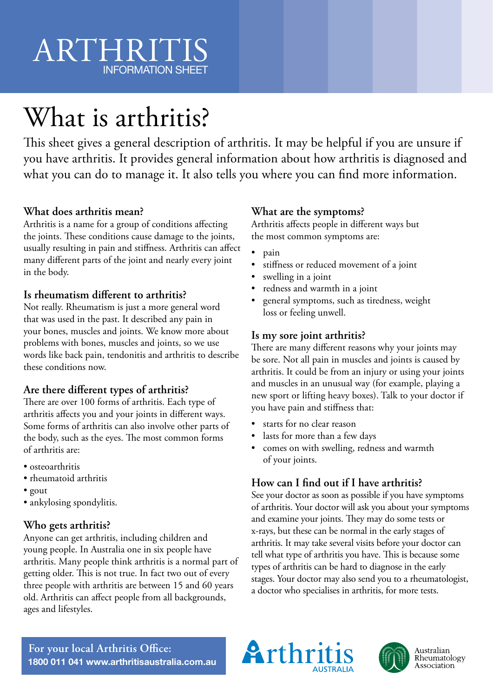# ARTHRITIS INFORMATION SHEET

# What is arthritis?

This sheet gives a general description of arthritis. It may be helpful if you are unsure if you have arthritis. It provides general information about how arthritis is diagnosed and what you can do to manage it. It also tells you where you can find more information.

# **What does arthritis mean?**

Arthritis is a name for a group of conditions affecting the joints. These conditions cause damage to the joints, usually resulting in pain and stiffness. Arthritis can affect many different parts of the joint and nearly every joint in the body.

### **Is rheumatism different to arthritis?**

Not really. Rheumatism is just a more general word that was used in the past. It described any pain in your bones, muscles and joints. We know more about problems with bones, muscles and joints, so we use words like back pain, tendonitis and arthritis to describe these conditions now.

# **Are there different types of arthritis?**

There are over 100 forms of arthritis. Each type of arthritis affects you and your joints in different ways. Some forms of arthritis can also involve other parts of the body, such as the eyes. The most common forms of arthritis are:

- osteoarthritis
- rheumatoid arthritis
- gout
- ankylosing spondylitis.

# **Who gets arthritis?**

Anyone can get arthritis, including children and young people. In Australia one in six people have arthritis. Many people think arthritis is a normal part of getting older. This is not true. In fact two out of every three people with arthritis are between 15 and 60 years old. Arthritis can affect people from all backgrounds, ages and lifestyles.

### **What are the symptoms?**

Arthritis affects people in different ways but the most common symptoms are:

- pain
- stiffness or reduced movement of a joint
- swelling in a joint
- redness and warmth in a joint
- general symptoms, such as tiredness, weight loss or feeling unwell.

### **Is my sore joint arthritis?**

There are many different reasons why your joints may be sore. Not all pain in muscles and joints is caused by arthritis. It could be from an injury or using your joints and muscles in an unusual way (for example, playing a new sport or lifting heavy boxes). Talk to your doctor if you have pain and stiffness that:

- starts for no clear reason
- lasts for more than a few days
- comes on with swelling, redness and warmth of your joints.

# **How can I find out if I have arthritis?**

See your doctor as soon as possible if you have symptoms of arthritis. Your doctor will ask you about your symptoms and examine your joints. They may do some tests or x-rays, but these can be normal in the early stages of arthritis. It may take several visits before your doctor can tell what type of arthritis you have. This is because some types of arthritis can be hard to diagnose in the early stages. Your doctor may also send you to a rheumatologist, a doctor who specialises in arthritis, for more tests.

**For your local Arthritis Office: 1800 011 041 www.arthritisaustralia.com.au**